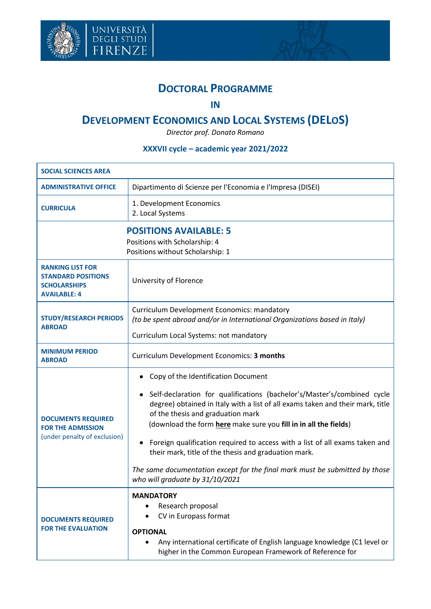



## **DOCTORAL PROGRAMME**

## **IN**

## **DEVELOPMENT ECONOMICS AND LOCAL SYSTEMS (DELOS)**

*Director prof. Donato Romano*

## **XXXVII cycle – academic year 2021/2022**

| <b>SOCIAL SCIENCES AREA</b>                                                                        |                                                                                                                                                                                                                                                                                                                                                                                                                                                                                                                                                                         |  |  |
|----------------------------------------------------------------------------------------------------|-------------------------------------------------------------------------------------------------------------------------------------------------------------------------------------------------------------------------------------------------------------------------------------------------------------------------------------------------------------------------------------------------------------------------------------------------------------------------------------------------------------------------------------------------------------------------|--|--|
| <b>ADMINISTRATIVE OFFICE</b>                                                                       | Dipartimento di Scienze per l'Economia e l'Impresa (DISEI)                                                                                                                                                                                                                                                                                                                                                                                                                                                                                                              |  |  |
| <b>CURRICULA</b>                                                                                   | 1. Development Economics<br>2. Local Systems                                                                                                                                                                                                                                                                                                                                                                                                                                                                                                                            |  |  |
| <b>POSITIONS AVAILABLE: 5</b><br>Positions with Scholarship: 4<br>Positions without Scholarship: 1 |                                                                                                                                                                                                                                                                                                                                                                                                                                                                                                                                                                         |  |  |
| <b>RANKING LIST FOR</b><br><b>STANDARD POSITIONS</b><br><b>SCHOLARSHIPS</b><br><b>AVAILABLE: 4</b> | University of Florence                                                                                                                                                                                                                                                                                                                                                                                                                                                                                                                                                  |  |  |
| <b>STUDY/RESEARCH PERIODS</b><br><b>ABROAD</b>                                                     | <b>Curriculum Development Economics: mandatory</b><br>(to be spent abroad and/or in International Organizations based in Italy)<br>Curriculum Local Systems: not mandatory                                                                                                                                                                                                                                                                                                                                                                                              |  |  |
| <b>MINIMUM PERIOD</b><br><b>ABROAD</b>                                                             | Curriculum Development Economics: 3 months                                                                                                                                                                                                                                                                                                                                                                                                                                                                                                                              |  |  |
| <b>DOCUMENTS REQUIRED</b><br><b>FOR THE ADMISSION</b><br>(under penalty of exclusion)              | Copy of the Identification Document<br>Self-declaration for qualifications (bachelor's/Master's/combined cycle<br>degree) obtained in Italy with a list of all exams taken and their mark, title<br>of the thesis and graduation mark<br>(download the form here make sure you fill in in all the fields)<br>Foreign qualification required to access with a list of all exams taken and<br>٠<br>their mark, title of the thesis and graduation mark.<br>The same documentation except for the final mark must be submitted by those<br>who will graduate by 31/10/2021 |  |  |
| <b>DOCUMENTS REQUIRED</b><br><b>FOR THE EVALUATION</b>                                             | <b>MANDATORY</b><br>Research proposal<br>CV in Europass format<br><b>OPTIONAL</b><br>Any international certificate of English language knowledge (C1 level or<br>higher in the Common European Framework of Reference for                                                                                                                                                                                                                                                                                                                                               |  |  |